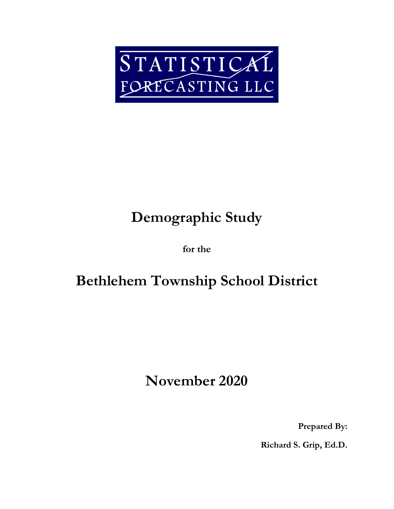

# **Demographic Study**

**for the**

## **Bethlehem Township School District**

## **November 2020**

**Prepared By:**

**Richard S. Grip, Ed.D.**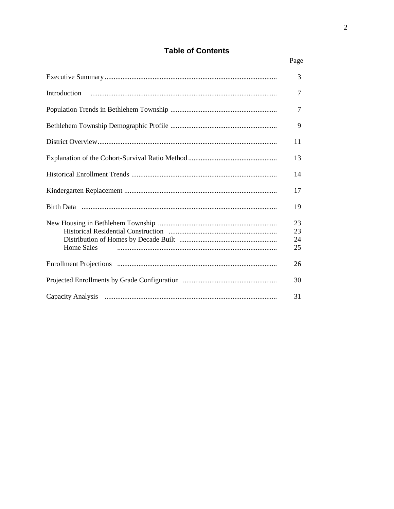## **Table of Contents**

|                   | 3                    |
|-------------------|----------------------|
| Introduction      | $\tau$               |
|                   | $\overline{7}$       |
|                   | 9                    |
|                   | 11                   |
|                   | 13                   |
|                   | 14                   |
|                   | 17                   |
|                   | 19                   |
| <b>Home Sales</b> | 23<br>23<br>24<br>25 |
|                   | 26                   |
|                   | 30                   |
|                   | 31                   |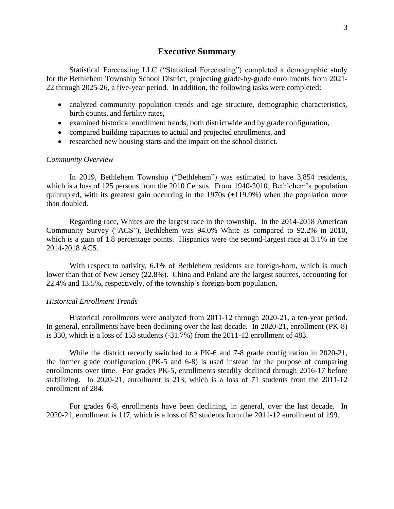## **Executive Summary**

Statistical Forecasting LLC ("Statistical Forecasting") completed a demographic study for the Bethlehem Township School District, projecting grade-by-grade enrollments from 2021- 22 through 2025-26, a five-year period. In addition, the following tasks were completed:

- analyzed community population trends and age structure, demographic characteristics, birth counts, and fertility rates,
- examined historical enrollment trends, both districtwide and by grade configuration,
- compared building capacities to actual and projected enrollments, and
- researched new housing starts and the impact on the school district.

## *Community Overview*

In 2019, Bethlehem Township ("Bethlehem") was estimated to have 3,854 residents, which is a loss of 125 persons from the 2010 Census. From 1940-2010, Bethlehem's population quintupled, with its greatest gain occurring in the 1970s (+119.9%) when the population more than doubled.

Regarding race, Whites are the largest race in the township. In the 2014-2018 American Community Survey ("ACS"), Bethlehem was 94.0% White as compared to 92.2% in 2010, which is a gain of 1.8 percentage points. Hispanics were the second-largest race at 3.1% in the 2014-2018 ACS.

With respect to nativity, 6.1% of Bethlehem residents are foreign-born, which is much lower than that of New Jersey (22.8%). China and Poland are the largest sources, accounting for 22.4% and 13.5%, respectively, of the township's foreign-born population.

## *Historical Enrollment Trends*

Historical enrollments were analyzed from 2011-12 through 2020-21, a ten-year period. In general, enrollments have been declining over the last decade. In 2020-21, enrollment (PK-8) is 330, which is a loss of 153 students (-31.7%) from the 2011-12 enrollment of 483.

While the district recently switched to a PK-6 and 7-8 grade configuration in 2020-21, the former grade configuration (PK-5 and 6-8) is used instead for the purpose of comparing enrollments over time. For grades PK-5, enrollments steadily declined through 2016-17 before stabilizing. In 2020-21, enrollment is 213, which is a loss of 71 students from the 2011-12 enrollment of 284.

For grades 6-8, enrollments have been declining, in general, over the last decade. In 2020-21, enrollment is 117, which is a loss of 82 students from the 2011-12 enrollment of 199.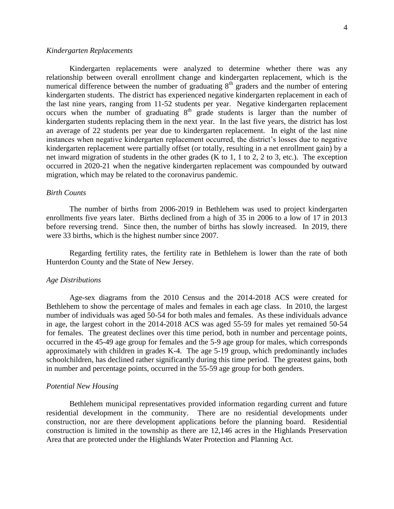#### *Kindergarten Replacements*

Kindergarten replacements were analyzed to determine whether there was any relationship between overall enrollment change and kindergarten replacement, which is the numerical difference between the number of graduating  $8<sup>th</sup>$  graders and the number of entering kindergarten students. The district has experienced negative kindergarten replacement in each of the last nine years, ranging from 11-52 students per year. Negative kindergarten replacement occurs when the number of graduating  $8<sup>th</sup>$  grade students is larger than the number of kindergarten students replacing them in the next year. In the last five years, the district has lost an average of 22 students per year due to kindergarten replacement.In eight of the last nine instances when negative kindergarten replacement occurred, the district's losses due to negative kindergarten replacement were partially offset (or totally, resulting in a net enrollment gain) by a net inward migration of students in the other grades (K to 1, 1 to 2, 2 to 3, etc.). The exception occurred in 2020-21 when the negative kindergarten replacement was compounded by outward migration, which may be related to the coronavirus pandemic.

#### *Birth Counts*

The number of births from 2006-2019 in Bethlehem was used to project kindergarten enrollments five years later. Births declined from a high of 35 in 2006 to a low of 17 in 2013 before reversing trend. Since then, the number of births has slowly increased. In 2019, there were 33 births, which is the highest number since 2007.

Regarding fertility rates, the fertility rate in Bethlehem is lower than the rate of both Hunterdon County and the State of New Jersey.

#### *Age Distributions*

Age-sex diagrams from the 2010 Census and the 2014-2018 ACS were created for Bethlehem to show the percentage of males and females in each age class. In 2010, the largest number of individuals was aged 50-54 for both males and females. As these individuals advance in age, the largest cohort in the 2014-2018 ACS was aged 55-59 for males yet remained 50-54 for females. The greatest declines over this time period, both in number and percentage points, occurred in the 45-49 age group for females and the 5-9 age group for males, which corresponds approximately with children in grades K-4. The age 5-19 group, which predominantly includes schoolchildren, has declined rather significantly during this time period. The greatest gains, both in number and percentage points, occurred in the 55-59 age group for both genders.

## *Potential New Housing*

Bethlehem municipal representatives provided information regarding current and future residential development in the community. There are no residential developments under construction, nor are there development applications before the planning board. Residential construction is limited in the township as there are 12,146 acres in the Highlands Preservation Area that are protected under the Highlands Water Protection and Planning Act.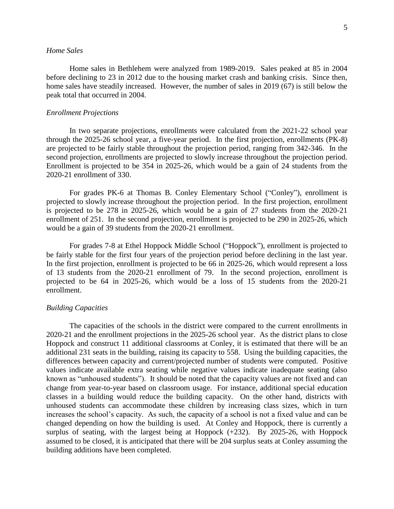### *Home Sales*

Home sales in Bethlehem were analyzed from 1989-2019. Sales peaked at 85 in 2004 before declining to 23 in 2012 due to the housing market crash and banking crisis. Since then, home sales have steadily increased. However, the number of sales in 2019 (67) is still below the peak total that occurred in 2004.

## *Enrollment Projections*

In two separate projections, enrollments were calculated from the 2021-22 school year through the 2025-26 school year, a five-year period. In the first projection, enrollments (PK-8) are projected to be fairly stable throughout the projection period, ranging from 342-346. In the second projection, enrollments are projected to slowly increase throughout the projection period. Enrollment is projected to be 354 in 2025-26, which would be a gain of 24 students from the 2020-21 enrollment of 330.

For grades PK-6 at Thomas B. Conley Elementary School ("Conley"), enrollment is projected to slowly increase throughout the projection period. In the first projection, enrollment is projected to be 278 in 2025-26, which would be a gain of 27 students from the 2020-21 enrollment of 251. In the second projection, enrollment is projected to be 290 in 2025-26, which would be a gain of 39 students from the 2020-21 enrollment.

For grades 7-8 at Ethel Hoppock Middle School ("Hoppock"), enrollment is projected to be fairly stable for the first four years of the projection period before declining in the last year. In the first projection, enrollment is projected to be 66 in 2025-26, which would represent a loss of 13 students from the 2020-21 enrollment of 79. In the second projection, enrollment is projected to be 64 in 2025-26, which would be a loss of 15 students from the 2020-21 enrollment.

## *Building Capacities*

The capacities of the schools in the district were compared to the current enrollments in 2020-21 and the enrollment projections in the 2025-26 school year. As the district plans to close Hoppock and construct 11 additional classrooms at Conley, it is estimated that there will be an additional 231 seats in the building, raising its capacity to 558. Using the building capacities, the differences between capacity and current/projected number of students were computed. Positive values indicate available extra seating while negative values indicate inadequate seating (also known as "unhoused students"). It should be noted that the capacity values are not fixed and can change from year-to-year based on classroom usage. For instance, additional special education classes in a building would reduce the building capacity. On the other hand, districts with unhoused students can accommodate these children by increasing class sizes, which in turn increases the school's capacity. As such, the capacity of a school is not a fixed value and can be changed depending on how the building is used. At Conley and Hoppock, there is currently a surplus of seating, with the largest being at Hoppock (+232). By 2025-26, with Hoppock assumed to be closed, it is anticipated that there will be 204 surplus seats at Conley assuming the building additions have been completed.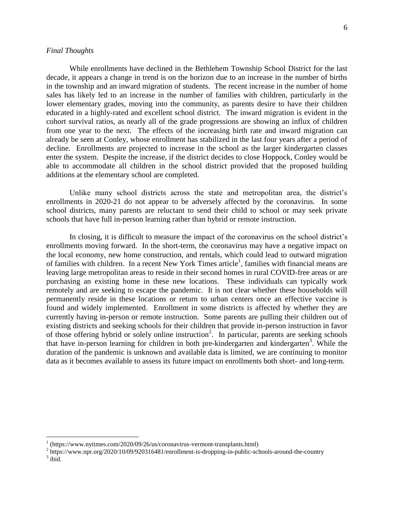## *Final Thoughts*

 $\overline{a}$ 

While enrollments have declined in the Bethlehem Township School District for the last decade, it appears a change in trend is on the horizon due to an increase in the number of births in the township and an inward migration of students. The recent increase in the number of home sales has likely led to an increase in the number of families with children, particularly in the lower elementary grades, moving into the community, as parents desire to have their children educated in a highly-rated and excellent school district. The inward migration is evident in the cohort survival ratios, as nearly all of the grade progressions are showing an influx of children from one year to the next. The effects of the increasing birth rate and inward migration can already be seen at Conley, whose enrollment has stabilized in the last four years after a period of decline. Enrollments are projected to increase in the school as the larger kindergarten classes enter the system. Despite the increase, if the district decides to close Hoppock, Conley would be able to accommodate all children in the school district provided that the proposed building additions at the elementary school are completed.

Unlike many school districts across the state and metropolitan area, the district's enrollments in 2020-21 do not appear to be adversely affected by the coronavirus. In some school districts, many parents are reluctant to send their child to school or may seek private schools that have full in-person learning rather than hybrid or remote instruction.

In closing, it is difficult to measure the impact of the coronavirus on the school district's enrollments moving forward. In the short-term, the coronavirus may have a negative impact on the local economy, new home construction, and rentals, which could lead to outward migration of families with children. In a recent New York Times article<sup>1</sup>, families with financial means are leaving large metropolitan areas to reside in their second homes in rural COVID-free areas or are purchasing an existing home in these new locations. These individuals can typically work remotely and are seeking to escape the pandemic. It is not clear whether these households will permanently reside in these locations or return to urban centers once an effective vaccine is found and widely implemented. Enrollment in some districts is affected by whether they are currently having in-person or remote instruction. Some parents are pulling their children out of existing districts and seeking schools for their children that provide in-person instruction in favor of those offering hybrid or solely online instruction<sup>2</sup>. In particular, parents are seeking schools that have in-person learning for children in both pre-kindergarten and kindergarten<sup>3</sup>. While the duration of the pandemic is unknown and available data is limited, we are continuing to monitor data as it becomes available to assess its future impact on enrollments both short- and long-term.

<sup>&</sup>lt;sup>1</sup> (https://www.nytimes.com/2020/09/26/us/coronavirus-vermont-transplants.html)

 $2 \text{ https://www.npr.org/2020/10/09/920316481/enrollment-is-dropping-in-public-schools-around-the-country}$  $3$  ibid.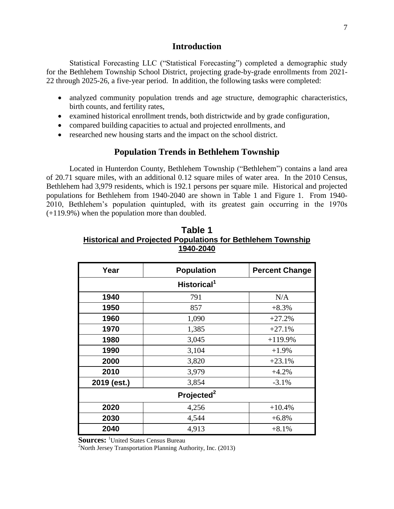## **Introduction**

Statistical Forecasting LLC ("Statistical Forecasting") completed a demographic study for the Bethlehem Township School District, projecting grade-by-grade enrollments from 2021- 22 through 2025-26, a five-year period. In addition, the following tasks were completed:

- analyzed community population trends and age structure, demographic characteristics, birth counts, and fertility rates,
- examined historical enrollment trends, both districtwide and by grade configuration,
- compared building capacities to actual and projected enrollments, and
- researched new housing starts and the impact on the school district.

## **Population Trends in Bethlehem Township**

Located in Hunterdon County, Bethlehem Township ("Bethlehem") contains a land area of 20.71 square miles, with an additional 0.12 square miles of water area. In the 2010 Census, Bethlehem had 3,979 residents, which is 192.1 persons per square mile. Historical and projected populations for Bethlehem from 1940-2040 are shown in Table 1 and Figure 1. From 1940- 2010, Bethlehem's population quintupled, with its greatest gain occurring in the 1970s (+119.9%) when the population more than doubled.

| Table 1                                                            |
|--------------------------------------------------------------------|
| <b>Historical and Projected Populations for Bethlehem Township</b> |
| 1940-2040                                                          |

| Year        | <b>Population</b>       | <b>Percent Change</b> |
|-------------|-------------------------|-----------------------|
|             | Historical <sup>1</sup> |                       |
| 1940        | 791                     | N/A                   |
| 1950        | 857                     | $+8.3%$               |
| 1960        | 1,090                   | $+27.2%$              |
| 1970        | 1,385                   | $+27.1%$              |
| 1980        | 3,045                   | $+119.9%$             |
| 1990        | 3,104                   | $+1.9%$               |
| 2000        | 3,820                   | $+23.1%$              |
| 2010        | 3,979                   | $+4.2%$               |
| 2019 (est.) | 3,854                   | $-3.1%$               |
|             |                         |                       |
| 2020        | 4,256                   | $+10.4%$              |
| 2030        | 4,544                   | $+6.8%$               |
| 2040        | 4,913                   | $+8.1%$               |

**Sources:** <sup>1</sup>United States Census Bureau

 $2^2$ North Jersey Transportation Planning Authority, Inc. (2013)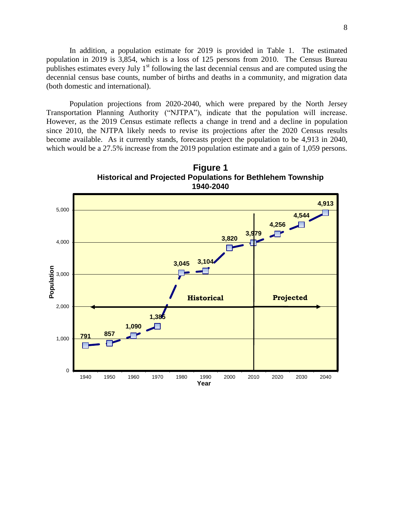In addition, a population estimate for 2019 is provided in Table 1. The estimated population in 2019 is 3,854, which is a loss of 125 persons from 2010. The Census Bureau publishes estimates every July  $1<sup>st</sup>$  following the last decennial census and are computed using the decennial census base counts, number of births and deaths in a community, and migration data (both domestic and international).

Population projections from 2020-2040, which were prepared by the North Jersey Transportation Planning Authority ("NJTPA"), indicate that the population will increase. However, as the 2019 Census estimate reflects a change in trend and a decline in population since 2010, the NJTPA likely needs to revise its projections after the 2020 Census results become available. As it currently stands, forecasts project the population to be 4,913 in 2040, which would be a 27.5% increase from the 2019 population estimate and a gain of 1,059 persons.

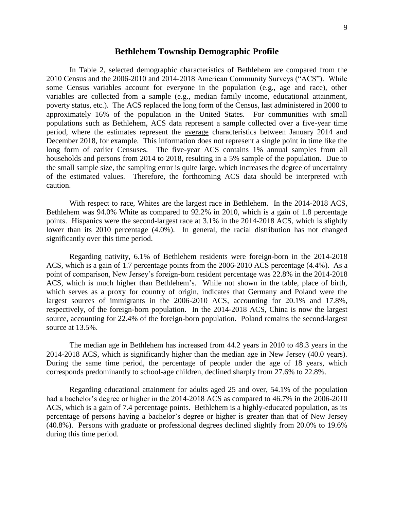## **Bethlehem Township Demographic Profile**

In Table 2, selected demographic characteristics of Bethlehem are compared from the 2010 Census and the 2006-2010 and 2014-2018 American Community Surveys ("ACS"). While some Census variables account for everyone in the population (e.g., age and race), other variables are collected from a sample (e.g., median family income, educational attainment, poverty status, etc.). The ACS replaced the long form of the Census, last administered in 2000 to approximately 16% of the population in the United States. For communities with small populations such as Bethlehem, ACS data represent a sample collected over a five-year time period, where the estimates represent the average characteristics between January 2014 and December 2018, for example. This information does not represent a single point in time like the long form of earlier Censuses. The five-year ACS contains 1% annual samples from all households and persons from 2014 to 2018, resulting in a 5% sample of the population. Due to the small sample size, the sampling error is quite large, which increases the degree of uncertainty of the estimated values. Therefore, the forthcoming ACS data should be interpreted with caution.

With respect to race, Whites are the largest race in Bethlehem. In the 2014-2018 ACS, Bethlehem was 94.0% White as compared to 92.2% in 2010, which is a gain of 1.8 percentage points. Hispanics were the second-largest race at 3.1% in the 2014-2018 ACS, which is slightly lower than its 2010 percentage (4.0%). In general, the racial distribution has not changed significantly over this time period.

Regarding nativity, 6.1% of Bethlehem residents were foreign-born in the 2014-2018 ACS, which is a gain of 1.7 percentage points from the 2006-2010 ACS percentage (4.4%). As a point of comparison, New Jersey's foreign-born resident percentage was 22.8% in the 2014-2018 ACS, which is much higher than Bethlehem's. While not shown in the table, place of birth, which serves as a proxy for country of origin, indicates that Germany and Poland were the largest sources of immigrants in the 2006-2010 ACS, accounting for 20.1% and 17.8%, respectively, of the foreign-born population. In the 2014-2018 ACS, China is now the largest source, accounting for 22.4% of the foreign-born population. Poland remains the second-largest source at 13.5%.

The median age in Bethlehem has increased from 44.2 years in 2010 to 48.3 years in the 2014-2018 ACS, which is significantly higher than the median age in New Jersey (40.0 years). During the same time period, the percentage of people under the age of 18 years, which corresponds predominantly to school-age children, declined sharply from 27.6% to 22.8%.

Regarding educational attainment for adults aged 25 and over, 54.1% of the population had a bachelor's degree or higher in the 2014-2018 ACS as compared to 46.7% in the 2006-2010 ACS, which is a gain of 7.4 percentage points. Bethlehem is a highly-educated population, as its percentage of persons having a bachelor's degree or higher is greater than that of New Jersey (40.8%). Persons with graduate or professional degrees declined slightly from 20.0% to 19.6% during this time period.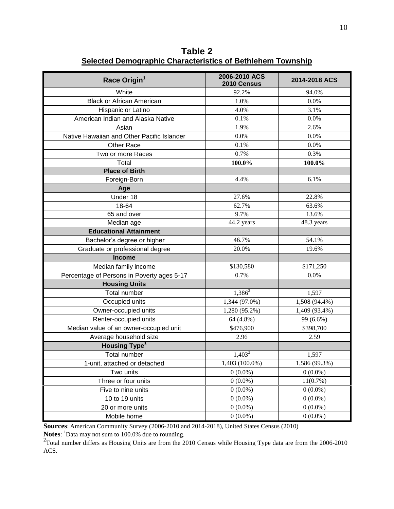**Table 2 Selected Demographic Characteristics of Bethlehem Township**

| Race Origin <sup>1</sup>                   | 2006-2010 ACS<br>2010 Census | 2014-2018 ACS |
|--------------------------------------------|------------------------------|---------------|
| White                                      | 92.2%                        | 94.0%         |
| <b>Black or African American</b>           | 1.0%                         | 0.0%          |
| Hispanic or Latino                         | 4.0%                         | 3.1%          |
| American Indian and Alaska Native          | 0.1%                         | 0.0%          |
| Asian                                      | 1.9%                         | 2.6%          |
| Native Hawaiian and Other Pacific Islander | 0.0%                         | 0.0%          |
| Other Race                                 | 0.1%                         | 0.0%          |
| Two or more Races                          | 0.7%                         | 0.3%          |
| Total                                      | 100.0%                       | 100.0%        |
| <b>Place of Birth</b>                      |                              |               |
| Foreign-Born                               | 4.4%                         | 6.1%          |
| Age                                        |                              |               |
| Under 18                                   | 27.6%                        | 22.8%         |
| 18-64                                      | 62.7%                        | 63.6%         |
| 65 and over                                | 9.7%                         | 13.6%         |
| Median age                                 | 44.2 years                   | 48.3 years    |
| <b>Educational Attainment</b>              |                              |               |
| Bachelor's degree or higher                | 46.7%                        | 54.1%         |
| Graduate or professional degree            | 20.0%                        | 19.6%         |
| <b>Income</b>                              |                              |               |
| Median family income                       | \$130,580                    | \$171,250     |
| Percentage of Persons in Poverty ages 5-17 | 0.7%                         | 0.0%          |
| <b>Housing Units</b>                       |                              |               |
| Total number                               | $1,386^2$                    | 1,597         |
| Occupied units                             | 1,344 (97.0%)                | 1,508 (94.4%) |
| Owner-occupied units                       | 1,280 (95.2%)                | 1,409 (93.4%) |
| Renter-occupied units                      | 64 (4.8%)                    | 99 (6.6%)     |
| Median value of an owner-occupied unit     | \$476,900                    | \$398,700     |
| Average household size                     | 2.96                         | 2.59          |
| <b>Housing Type<sup>1</sup></b>            |                              |               |
| <b>Total number</b>                        | $1,403^2$                    | 1,597         |
| 1-unit, attached or detached               | 1,403 (100.0%)               | 1,586 (99.3%) |
| Two units                                  | $0(0.0\%)$                   | $0(0.0\%)$    |
| Three or four units                        | $0(0.0\%)$                   | 11(0.7%)      |
| Five to nine units                         | $0(0.0\%)$                   | $0(0.0\%)$    |
| 10 to 19 units                             | $0(0.0\%)$                   | $0(0.0\%)$    |
| 20 or more units                           | $0(0.0\%)$                   | $0(0.0\%)$    |
| Mobile home                                | $0(0.0\%)$                   | $0(0.0\%)$    |

**Sources**: American Community Survey (2006-2010 and 2014-2018), United States Census (2010)

Notes: <sup>1</sup>Data may not sum to 100.0% due to rounding.

<sup>2</sup>Total number differs as Housing Units are from the 2010 Census while Housing Type data are from the 2006-2010 ACS.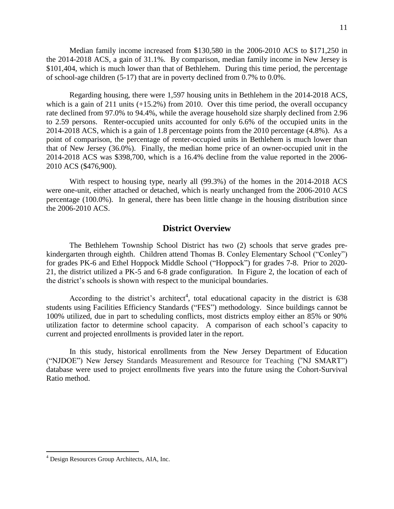Median family income increased from \$130,580 in the 2006-2010 ACS to \$171,250 in the 2014-2018 ACS, a gain of 31.1%. By comparison, median family income in New Jersey is \$101,404, which is much lower than that of Bethlehem. During this time period, the percentage of school-age children (5-17) that are in poverty declined from 0.7% to 0.0%.

Regarding housing, there were 1,597 housing units in Bethlehem in the 2014-2018 ACS, which is a gain of 211 units (+15.2%) from 2010. Over this time period, the overall occupancy rate declined from 97.0% to 94.4%, while the average household size sharply declined from 2.96 to 2.59 persons. Renter-occupied units accounted for only 6.6% of the occupied units in the 2014-2018 ACS, which is a gain of 1.8 percentage points from the 2010 percentage (4.8%). As a point of comparison, the percentage of renter-occupied units in Bethlehem is much lower than that of New Jersey (36.0%). Finally, the median home price of an owner-occupied unit in the 2014-2018 ACS was \$398,700, which is a 16.4% decline from the value reported in the 2006- 2010 ACS (\$476,900).

With respect to housing type, nearly all (99.3%) of the homes in the 2014-2018 ACS were one-unit, either attached or detached, which is nearly unchanged from the 2006-2010 ACS percentage (100.0%). In general, there has been little change in the housing distribution since the 2006-2010 ACS.

## **District Overview**

The Bethlehem Township School District has two (2) schools that serve grades prekindergarten through eighth. Children attend Thomas B. Conley Elementary School ("Conley") for grades PK-6 and Ethel Hoppock Middle School ("Hoppock") for grades 7-8. Prior to 2020- 21, the district utilized a PK-5 and 6-8 grade configuration. In Figure 2, the location of each of the district's schools is shown with respect to the municipal boundaries.

According to the district's architect<sup>4</sup>, total educational capacity in the district is  $638$ students using Facilities Efficiency Standards ("FES") methodology. Since buildings cannot be 100% utilized, due in part to scheduling conflicts, most districts employ either an 85% or 90% utilization factor to determine school capacity. A comparison of each school's capacity to current and projected enrollments is provided later in the report.

In this study, historical enrollments from the New Jersey Department of Education ("NJDOE") New Jersey Standards Measurement and Resource for Teaching ("NJ SMART") database were used to project enrollments five years into the future using the Cohort-Survival Ratio method.

 $\overline{a}$ 

<sup>&</sup>lt;sup>4</sup> Design Resources Group Architects, AIA, Inc.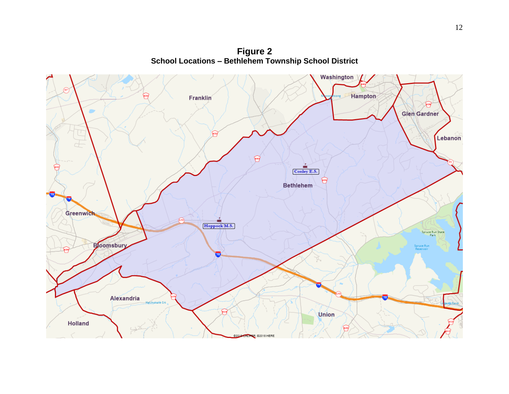**Figure 2 School Locations – Bethlehem Township School District**

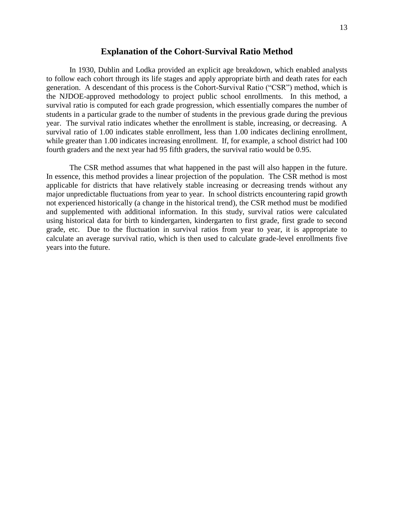## **Explanation of the Cohort-Survival Ratio Method**

In 1930, Dublin and Lodka provided an explicit age breakdown, which enabled analysts to follow each cohort through its life stages and apply appropriate birth and death rates for each generation. A descendant of this process is the Cohort-Survival Ratio ("CSR") method, which is the NJDOE-approved methodology to project public school enrollments. In this method, a survival ratio is computed for each grade progression, which essentially compares the number of students in a particular grade to the number of students in the previous grade during the previous year. The survival ratio indicates whether the enrollment is stable, increasing, or decreasing. A survival ratio of 1.00 indicates stable enrollment, less than 1.00 indicates declining enrollment, while greater than 1.00 indicates increasing enrollment. If, for example, a school district had 100 fourth graders and the next year had 95 fifth graders, the survival ratio would be 0.95.

The CSR method assumes that what happened in the past will also happen in the future. In essence, this method provides a linear projection of the population. The CSR method is most applicable for districts that have relatively stable increasing or decreasing trends without any major unpredictable fluctuations from year to year. In school districts encountering rapid growth not experienced historically (a change in the historical trend), the CSR method must be modified and supplemented with additional information. In this study, survival ratios were calculated using historical data for birth to kindergarten, kindergarten to first grade, first grade to second grade, etc. Due to the fluctuation in survival ratios from year to year, it is appropriate to calculate an average survival ratio, which is then used to calculate grade-level enrollments five years into the future.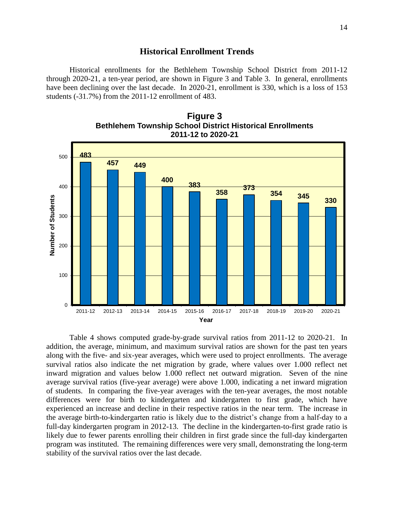## **Historical Enrollment Trends**

Historical enrollments for the Bethlehem Township School District from 2011-12 through 2020-21, a ten-year period, are shown in Figure 3 and Table 3. In general, enrollments have been declining over the last decade. In 2020-21, enrollment is 330, which is a loss of 153 students (-31.7%) from the 2011-12 enrollment of 483.





Table 4 shows computed grade-by-grade survival ratios from 2011-12 to 2020-21. In addition, the average, minimum, and maximum survival ratios are shown for the past ten years along with the five- and six-year averages, which were used to project enrollments. The average survival ratios also indicate the net migration by grade, where values over 1.000 reflect net inward migration and values below 1.000 reflect net outward migration. Seven of the nine average survival ratios (five-year average) were above 1.000, indicating a net inward migration of students. In comparing the five-year averages with the ten-year averages, the most notable differences were for birth to kindergarten and kindergarten to first grade, which have experienced an increase and decline in their respective ratios in the near term. The increase in the average birth-to-kindergarten ratio is likely due to the district's change from a half-day to a full-day kindergarten program in 2012-13. The decline in the kindergarten-to-first grade ratio is likely due to fewer parents enrolling their children in first grade since the full-day kindergarten program was instituted. The remaining differences were very small, demonstrating the long-term stability of the survival ratios over the last decade.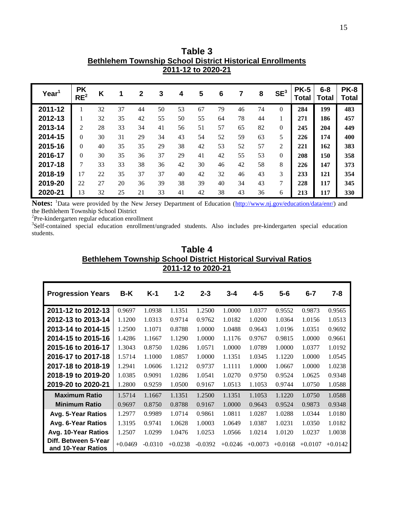|                   |                              |    |    |              |    | 2011-12 to 2020-21 |    |    |    |    |                 |                             |                         |                             |
|-------------------|------------------------------|----|----|--------------|----|--------------------|----|----|----|----|-----------------|-----------------------------|-------------------------|-----------------------------|
| Year <sup>1</sup> | <b>PK</b><br>RE <sup>2</sup> | K  | 1  | $\mathbf{2}$ | 3  | 4                  | 5  | 6  |    | 8  | SE <sup>3</sup> | <b>PK-5</b><br><b>Total</b> | $6 - 8$<br><b>Total</b> | <b>PK-8</b><br><b>Total</b> |
| 2011-12           |                              | 32 | 37 | 44           | 50 | 53                 | 67 | 79 | 46 | 74 | $\Omega$        | 284                         | 199                     | 483                         |
| 2012-13           |                              | 32 | 35 | 42           | 55 | 50                 | 55 | 64 | 78 | 44 | 1               | 271                         | 186                     | 457                         |
| 2013-14           | 2                            | 28 | 33 | 34           | 41 | 56                 | 51 | 57 | 65 | 82 | $\mathbf{0}$    | 245                         | 204                     | 449                         |
| 2014-15           | $\Omega$                     | 30 | 31 | 29           | 34 | 43                 | 54 | 52 | 59 | 63 | 5               | 226                         | 174                     | 400                         |
| 2015-16           | $\theta$                     | 40 | 35 | 35           | 29 | 38                 | 42 | 53 | 52 | 57 | $\mathfrak{2}$  | 221                         | 162                     | 383                         |
| 2016-17           | $\Omega$                     | 30 | 35 | 36           | 37 | 29                 | 41 | 42 | 55 | 53 | $\overline{0}$  | 208                         | 150                     | 358                         |
| 2017-18           | $\tau$                       | 33 | 33 | 38           | 36 | 42                 | 30 | 46 | 42 | 58 | 8               | 226                         | 147                     | 373                         |
| 2018-19           | 17                           | 22 | 35 | 37           | 37 | 40                 | 42 | 32 | 46 | 43 | 3               | 233                         | 121                     | 354                         |
| 2019-20           | 22                           | 27 | 20 | 36           | 39 | 38                 | 39 | 40 | 34 | 43 | 7               | 228                         | 117                     | 345                         |
| 2020-21           | 13                           | 32 | 25 | 21           | 33 | 41                 | 42 | 38 | 43 | 36 | 6               | 213                         | 117                     | 330                         |

Notes: <sup>1</sup>Data were provided by the New Jersey Department of Education [\(http://www.nj.gov/education/data/enr/\)](http://www.nj.gov/education/data/enr/) and the Bethlehem Township School District

<sup>2</sup>Pre-kindergarten regular education enrollment

<sup>3</sup>Self-contained special education enrollment/ungraded students. Also includes pre-kindergarten special education students.

| Table 4                                                              |
|----------------------------------------------------------------------|
| <b>Bethlehem Township School District Historical Survival Ratios</b> |
| 2011-12 to 2020-21                                                   |

| <b>Progression Years</b>                   | B-K       | $K-1$     | $1 - 2$   | $2 - 3$   | $3 - 4$   | $4 - 5$   | $5 - 6$   | $6 - 7$   | $7 - 8$   |
|--------------------------------------------|-----------|-----------|-----------|-----------|-----------|-----------|-----------|-----------|-----------|
| 2011-12 to 2012-13                         | 0.9697    | 1.0938    | 1.1351    | 1.2500    | 1.0000    | 1.0377    | 0.9552    | 0.9873    | 0.9565    |
| 2012-13 to 2013-14                         | 1.1200    | 1.0313    | 0.9714    | 0.9762    | 1.0182    | 1.0200    | 1.0364    | 1.0156    | 1.0513    |
| 2013-14 to 2014-15                         | 1.2500    | 1.1071    | 0.8788    | 1.0000    | 1.0488    | 0.9643    | 1.0196    | 1.0351    | 0.9692    |
| 2014-15 to 2015-16                         | 1.4286    | 1.1667    | 1.1290    | 1.0000    | 1.1176    | 0.9767    | 0.9815    | 1.0000    | 0.9661    |
| 2015-16 to 2016-17                         | 1.3043    | 0.8750    | 1.0286    | 1.0571    | 1.0000    | 1.0789    | 1.0000    | 1.0377    | 1.0192    |
| 2016-17 to 2017-18                         | 1.5714    | 1.1000    | 1.0857    | 1.0000    | 1.1351    | 1.0345    | 1.1220    | 1.0000    | 1.0545    |
| 2017-18 to 2018-19                         | 1.2941    | 1.0606    | 1.1212    | 0.9737    | 1.1111    | 1.0000    | 1.0667    | 1.0000    | 1.0238    |
| 2018-19 to 2019-20                         | 1.0385    | 0.9091    | 1.0286    | 1.0541    | 1.0270    | 0.9750    | 0.9524    | 1.0625    | 0.9348    |
| 2019-20 to 2020-21                         | 1.2800    | 0.9259    | 1.0500    | 0.9167    | 1.0513    | 1.1053    | 0.9744    | 1.0750    | 1.0588    |
| <b>Maximum Ratio</b>                       | 1.5714    | 1.1667    | 1.1351    | 1.2500    | 1.1351    | 1.1053    | 1.1220    | 1.0750    | 1.0588    |
| <b>Minimum Ratio</b>                       | 0.9697    | 0.8750    | 0.8788    | 0.9167    | 1.0000    | 0.9643    | 0.9524    | 0.9873    | 0.9348    |
| Avg. 5-Year Ratios                         | 1.2977    | 0.9989    | 1.0714    | 0.9861    | 1.0811    | 1.0287    | 1.0288    | 1.0344    | 1.0180    |
| Avg. 6-Year Ratios                         | 1.3195    | 0.9741    | 1.0628    | 1.0003    | 1.0649    | 1.0387    | 1.0231    | 1.0350    | 1.0182    |
| Avg. 10-Year Ratios                        | 1.2507    | 1.0299    | 1.0476    | 1.0253    | 1.0566    | 1.0214    | 1.0120    | 1.0237    | 1.0038    |
| Diff. Between 5-Year<br>and 10-Year Ratios | $+0.0469$ | $-0.0310$ | $+0.0238$ | $-0.0392$ | $+0.0246$ | $+0.0073$ | $+0.0168$ | $+0.0107$ | $+0.0142$ |

**Table 3 Bethlehem Township School District Historical Enrollments**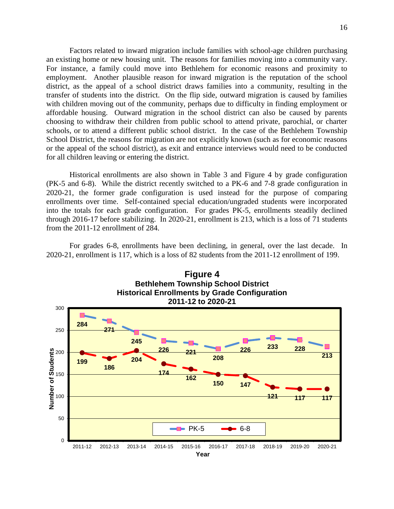Factors related to inward migration include families with school-age children purchasing an existing home or new housing unit. The reasons for families moving into a community vary. For instance, a family could move into Bethlehem for economic reasons and proximity to employment. Another plausible reason for inward migration is the reputation of the school district, as the appeal of a school district draws families into a community, resulting in the transfer of students into the district. On the flip side, outward migration is caused by families with children moving out of the community, perhaps due to difficulty in finding employment or affordable housing. Outward migration in the school district can also be caused by parents choosing to withdraw their children from public school to attend private, parochial, or charter schools, or to attend a different public school district. In the case of the Bethlehem Township School District, the reasons for migration are not explicitly known (such as for economic reasons or the appeal of the school district), as exit and entrance interviews would need to be conducted for all children leaving or entering the district.

Historical enrollments are also shown in Table 3 and Figure 4 by grade configuration (PK-5 and 6-8). While the district recently switched to a PK-6 and 7-8 grade configuration in 2020-21, the former grade configuration is used instead for the purpose of comparing enrollments over time. Self-contained special education/ungraded students were incorporated into the totals for each grade configuration. For grades PK-5, enrollments steadily declined through 2016-17 before stabilizing. In 2020-21, enrollment is 213, which is a loss of 71 students from the 2011-12 enrollment of 284.

2020-21, enrollment is 117, which is a loss of 82 students from the 2011-12 enrollment of 199.



For grades 6-8, enrollments have been declining, in general, over the last decade. In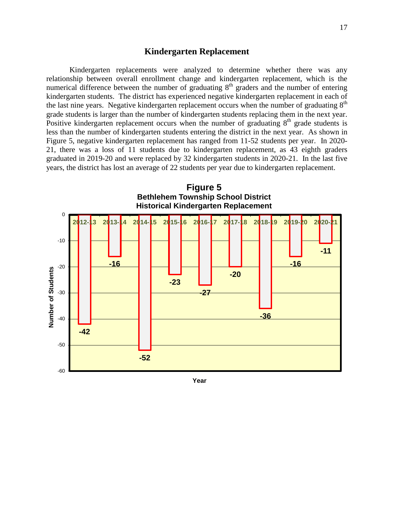## **Kindergarten Replacement**

Kindergarten replacements were analyzed to determine whether there was any relationship between overall enrollment change and kindergarten replacement, which is the numerical difference between the number of graduating  $8<sup>th</sup>$  graders and the number of entering kindergarten students. The district has experienced negative kindergarten replacement in each of the last nine years. Negative kindergarten replacement occurs when the number of graduating  $8<sup>th</sup>$ grade students is larger than the number of kindergarten students replacing them in the next year. Positive kindergarten replacement occurs when the number of graduating  $8<sup>th</sup>$  grade students is less than the number of kindergarten students entering the district in the next year. As shown in Figure 5, negative kindergarten replacement has ranged from 11-52 students per year. In 2020- 21, there was a loss of 11 students due to kindergarten replacement, as 43 eighth graders graduated in 2019-20 and were replaced by 32 kindergarten students in 2020-21. In the last five years, the district has lost an average of 22 students per year due to kindergarten replacement.



**Year**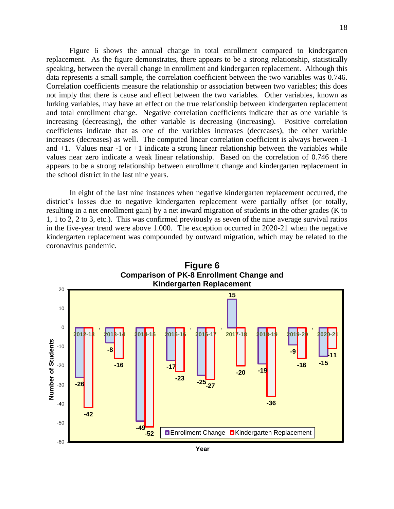Figure 6 shows the annual change in total enrollment compared to kindergarten replacement. As the figure demonstrates, there appears to be a strong relationship, statistically speaking, between the overall change in enrollment and kindergarten replacement. Although this data represents a small sample, the correlation coefficient between the two variables was 0.746. Correlation coefficients measure the relationship or association between two variables; this does not imply that there is cause and effect between the two variables. Other variables, known as lurking variables, may have an effect on the true relationship between kindergarten replacement and total enrollment change. Negative correlation coefficients indicate that as one variable is increasing (decreasing), the other variable is decreasing (increasing). Positive correlation coefficients indicate that as one of the variables increases (decreases), the other variable increases (decreases) as well. The computed linear correlation coefficient is always between -1 and  $+1$ . Values near  $-1$  or  $+1$  indicate a strong linear relationship between the variables while values near zero indicate a weak linear relationship. Based on the correlation of 0.746 there appears to be a strong relationship between enrollment change and kindergarten replacement in the school district in the last nine years.

In eight of the last nine instances when negative kindergarten replacement occurred, the district's losses due to negative kindergarten replacement were partially offset (or totally, resulting in a net enrollment gain) by a net inward migration of students in the other grades (K to 1, 1 to 2, 2 to 3, etc.). This was confirmed previously as seven of the nine average survival ratios in the five-year trend were above 1.000.The exception occurred in 2020-21 when the negative kindergarten replacement was compounded by outward migration, which may be related to the coronavirus pandemic.



**Year**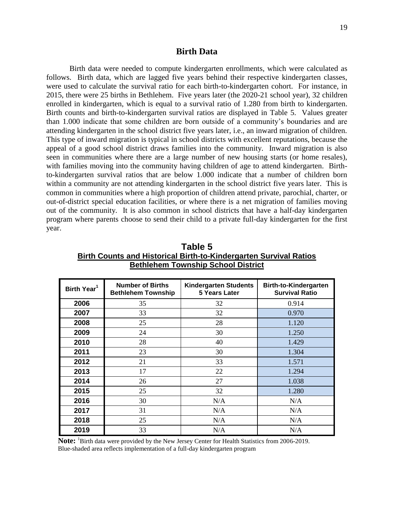## **Birth Data**

Birth data were needed to compute kindergarten enrollments, which were calculated as follows. Birth data, which are lagged five years behind their respective kindergarten classes, were used to calculate the survival ratio for each birth-to-kindergarten cohort. For instance, in 2015, there were 25 births in Bethlehem. Five years later (the 2020-21 school year), 32 children enrolled in kindergarten, which is equal to a survival ratio of 1.280 from birth to kindergarten. Birth counts and birth-to-kindergarten survival ratios are displayed in Table 5. Values greater than 1.000 indicate that some children are born outside of a community's boundaries and are attending kindergarten in the school district five years later, i.e., an inward migration of children. This type of inward migration is typical in school districts with excellent reputations, because the appeal of a good school district draws families into the community. Inward migration is also seen in communities where there are a large number of new housing starts (or home resales), with families moving into the community having children of age to attend kindergarten. Birthto-kindergarten survival ratios that are below 1.000 indicate that a number of children born within a community are not attending kindergarten in the school district five years later. This is common in communities where a high proportion of children attend private, parochial, charter, or out-of-district special education facilities, or where there is a net migration of families moving out of the community. It is also common in school districts that have a half-day kindergarten program where parents choose to send their child to a private full-day kindergarten for the first year.

| Birth Year <sup>1</sup> | <b>Number of Births</b><br><b>Bethlehem Township</b> | <b>Kindergarten Students</b><br>5 Years Later | <b>Birth-to-Kindergarten</b><br><b>Survival Ratio</b> |
|-------------------------|------------------------------------------------------|-----------------------------------------------|-------------------------------------------------------|
| 2006                    | 35                                                   | 32                                            | 0.914                                                 |
| 2007                    | 33                                                   | 32                                            | 0.970                                                 |
| 2008                    | 25                                                   | 28                                            | 1.120                                                 |
| 2009                    | 24                                                   | 30                                            | 1.250                                                 |
| 2010                    | 28                                                   | 40                                            | 1.429                                                 |
| 2011                    | 23                                                   | 30                                            | 1.304                                                 |
| 2012                    | 21                                                   | 33                                            | 1.571                                                 |
| 2013                    | 17                                                   | 22                                            | 1.294                                                 |
| 2014                    | 26                                                   | 27                                            | 1.038                                                 |
| 2015                    | 25                                                   | 32                                            | 1.280                                                 |
| 2016                    | 30                                                   | N/A                                           | N/A                                                   |
| 2017                    | 31                                                   | N/A                                           | N/A                                                   |
| 2018                    | 25                                                   | N/A                                           | N/A                                                   |
| 2019                    | 33                                                   | N/A                                           | N/A                                                   |

**Table 5 Birth Counts and Historical Birth-to-Kindergarten Survival Ratios Bethlehem Township School District**

**Note:** <sup>1</sup>Birth data were provided by the New Jersey Center for Health Statistics from 2006-2019. Blue-shaded area reflects implementation of a full-day kindergarten program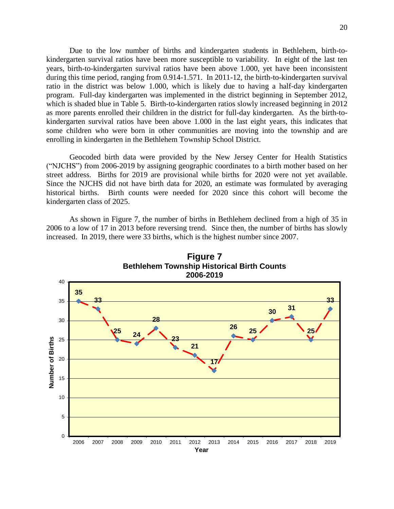Due to the low number of births and kindergarten students in Bethlehem, birth-tokindergarten survival ratios have been more susceptible to variability. In eight of the last ten years, birth-to-kindergarten survival ratios have been above 1.000, yet have been inconsistent during this time period, ranging from 0.914-1.571. In 2011-12, the birth-to-kindergarten survival ratio in the district was below 1.000, which is likely due to having a half-day kindergarten program. Full-day kindergarten was implemented in the district beginning in September 2012, which is shaded blue in Table 5. Birth-to-kindergarten ratios slowly increased beginning in 2012 as more parents enrolled their children in the district for full-day kindergarten. As the birth-tokindergarten survival ratios have been above 1.000 in the last eight years, this indicates that some children who were born in other communities are moving into the township and are enrolling in kindergarten in the Bethlehem Township School District.

Geocoded birth data were provided by the New Jersey Center for Health Statistics ("NJCHS") from 2006-2019 by assigning geographic coordinates to a birth mother based on her street address. Births for 2019 are provisional while births for 2020 were not yet available. Since the NJCHS did not have birth data for 2020, an estimate was formulated by averaging historical births. Birth counts were needed for 2020 since this cohort will become the kindergarten class of 2025.

As shown in Figure 7, the number of births in Bethlehem declined from a high of 35 in 2006 to a low of 17 in 2013 before reversing trend. Since then, the number of births has slowly increased. In 2019, there were 33 births, which is the highest number since 2007.



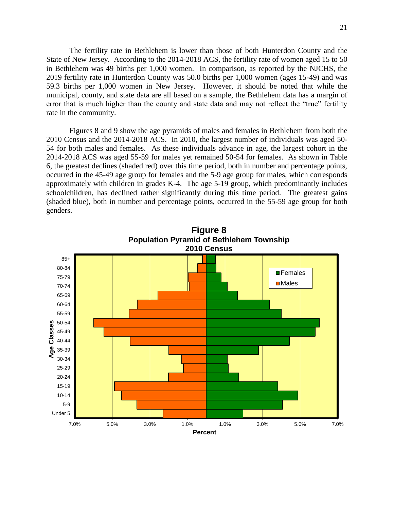The fertility rate in Bethlehem is lower than those of both Hunterdon County and the State of New Jersey. According to the 2014-2018 ACS, the fertility rate of women aged 15 to 50 in Bethlehem was 49 births per 1,000 women. In comparison, as reported by the NJCHS, the 2019 fertility rate in Hunterdon County was 50.0 births per 1,000 women (ages 15-49) and was 59.3 births per 1,000 women in New Jersey. However, it should be noted that while the municipal, county, and state data are all based on a sample, the Bethlehem data has a margin of error that is much higher than the county and state data and may not reflect the "true" fertility rate in the community.

Figures 8 and 9 show the age pyramids of males and females in Bethlehem from both the 2010 Census and the 2014-2018 ACS. In 2010, the largest number of individuals was aged 50- 54 for both males and females. As these individuals advance in age, the largest cohort in the 2014-2018 ACS was aged 55-59 for males yet remained 50-54 for females. As shown in Table 6, the greatest declines (shaded red) over this time period, both in number and percentage points, occurred in the 45-49 age group for females and the 5-9 age group for males, which corresponds approximately with children in grades K-4. The age 5-19 group, which predominantly includes schoolchildren, has declined rather significantly during this time period. The greatest gains (shaded blue), both in number and percentage points, occurred in the 55-59 age group for both genders.

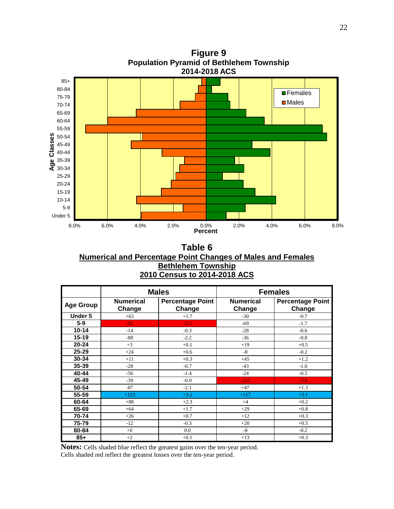

**Figure 9 Population Pyramid of Bethlehem Township**

**Table 6 Numerical and Percentage Point Changes of Males and Females Bethlehem Township 2010 Census to 2014-2018 ACS**

|                  |                            | <b>Males</b>                      | <b>Females</b>             |                                   |  |
|------------------|----------------------------|-----------------------------------|----------------------------|-----------------------------------|--|
| <b>Age Group</b> | <b>Numerical</b><br>Change | <b>Percentage Point</b><br>Change | <b>Numerical</b><br>Change | <b>Percentage Point</b><br>Change |  |
| Under 5          | $+63$                      | $+1.7$                            | $-30$                      | $-0.7$                            |  |
| $5-9$            | $-92$                      | $-2.3$                            | $-69$                      | $-1.7$                            |  |
| $10 - 14$        | $-14$                      | $-0.3$                            | $-28$                      | $-0.6$                            |  |
| $15 - 19$        | $-88$                      | $-2.2$                            | $-36$                      | $-0.8$                            |  |
| $20 - 24$        | $+3$                       | $+0.1$                            | $+19$                      | $+0.5$                            |  |
| $25 - 29$        | $+24$                      | $+0.6$                            | $-8$                       | $-0.2$                            |  |
| 30-34            | $+11$                      | $+0.3$                            | $+45$                      | $+1.2$                            |  |
| 35-39            | $-28$                      | $-0.7$                            | $-43$                      | $-1.0$                            |  |
| 40-44            | $-56$                      | $-1.4$                            | $-24$                      | $-0.5$                            |  |
| 45-49            | $-39$                      | $-0.9$                            | $-122$                     | $-3.0$                            |  |
| 50-54            | $-87$                      | $-2.1$                            | $+47$                      | $+1.3$                            |  |
| 55-59            | $+123$                     | $+3.2$                            | $+117$                     | $+3.1$                            |  |
| 60-64            | $+88$                      | $+2.3$                            | $+4$                       | $+0.2$                            |  |
| 65-69            | $+64$                      | $+1.7$                            | $+29$                      | $+0.8$                            |  |
| 70-74            | $+26$                      | $+0.7$                            | $+12$                      | $+0.3$                            |  |
| 75-79            | $-12$                      | $-0.3$                            | $+20$                      | $+0.5$                            |  |
| 80-84            | $+0$                       | 0.0                               | $-8$                       | $-0.2$                            |  |
| $85+$            | $+2$                       | $+0.1$                            | $+13$                      | $+0.3$                            |  |

**Notes:** Cells shaded blue reflect the greatest gains over the ten-year period. Cells shaded red reflect the greatest losses over the ten-year period.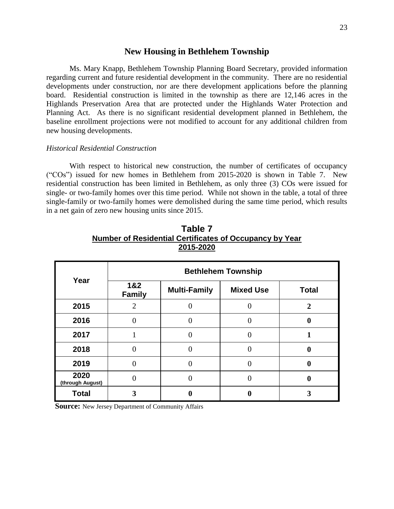## **New Housing in Bethlehem Township**

Ms. Mary Knapp, Bethlehem Township Planning Board Secretary, provided information regarding current and future residential development in the community. There are no residential developments under construction, nor are there development applications before the planning board. Residential construction is limited in the township as there are 12,146 acres in the Highlands Preservation Area that are protected under the Highlands Water Protection and Planning Act. As there is no significant residential development planned in Bethlehem, the baseline enrollment projections were not modified to account for any additional children from new housing developments.

## *Historical Residential Construction*

With respect to historical new construction, the number of certificates of occupancy ("COs") issued for new homes in Bethlehem from 2015-2020 is shown in Table 7. New residential construction has been limited in Bethlehem, as only three (3) COs were issued for single- or two-family homes over this time period. While not shown in the table, a total of three single-family or two-family homes were demolished during the same time period, which results in a net gain of zero new housing units since 2015.

|                          |                             |                     | <b>Bethlehem Township</b> |                  |
|--------------------------|-----------------------------|---------------------|---------------------------|------------------|
| Year                     | 1&2<br><b>Family</b>        | <b>Multi-Family</b> | <b>Mixed Use</b>          | <b>Total</b>     |
| 2015                     | $\mathcal{D}_{\mathcal{L}}$ | 0                   |                           | $\overline{2}$   |
| 2016                     | $\mathbf{\Omega}$           |                     |                           | 0                |
| 2017                     |                             |                     |                           |                  |
| 2018                     | $\Omega$                    | 0                   |                           | $\boldsymbol{0}$ |
| 2019                     |                             | 0                   |                           | $\bf{0}$         |
| 2020<br>(through August) |                             |                     |                           | 0                |
| <b>Total</b>             | 3                           |                     |                           |                  |

**Table 7 Number of Residential Certificates of Occupancy by Year 2015-2020**

**Source:** New Jersey Department of Community Affairs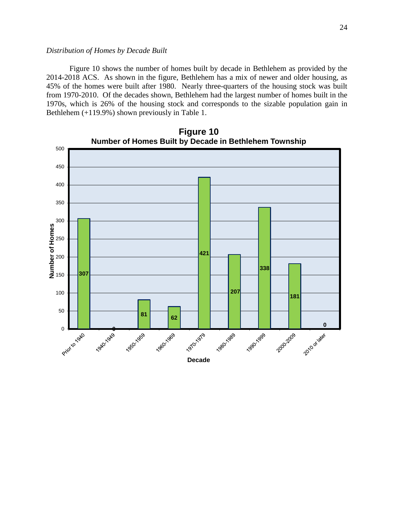## *Distribution of Homes by Decade Built*

Figure 10 shows the number of homes built by decade in Bethlehem as provided by the 2014-2018 ACS. As shown in the figure, Bethlehem has a mix of newer and older housing, as 45% of the homes were built after 1980. Nearly three-quarters of the housing stock was built from 1970-2010. Of the decades shown, Bethlehem had the largest number of homes built in the 1970s, which is 26% of the housing stock and corresponds to the sizable population gain in Bethlehem (+119.9%) shown previously in Table 1.

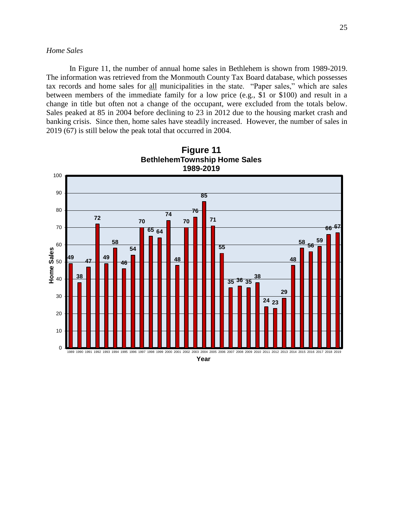## *Home Sales*

In Figure 11, the number of annual home sales in Bethlehem is shown from 1989-2019. The information was retrieved from the Monmouth County Tax Board database, which possesses tax records and home sales for all municipalities in the state. "Paper sales," which are sales between members of the immediate family for a low price (e.g., \$1 or \$100) and result in a change in title but often not a change of the occupant, were excluded from the totals below. Sales peaked at 85 in 2004 before declining to 23 in 2012 due to the housing market crash and banking crisis. Since then, home sales have steadily increased. However, the number of sales in 2019 (67) is still below the peak total that occurred in 2004.



**Figure 11 BethlehemTownship Home Sales**

**Year**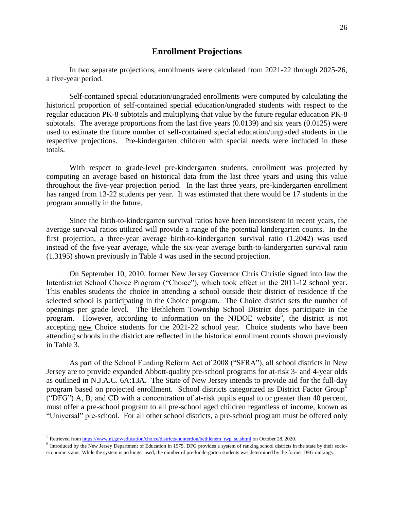## **Enrollment Projections**

In two separate projections, enrollments were calculated from 2021-22 through 2025-26, a five-year period.

Self-contained special education/ungraded enrollments were computed by calculating the historical proportion of self-contained special education/ungraded students with respect to the regular education PK-8 subtotals and multiplying that value by the future regular education PK-8 subtotals. The average proportions from the last five years (0.0139) and six years (0.0125) were used to estimate the future number of self-contained special education/ungraded students in the respective projections. Pre-kindergarten children with special needs were included in these totals.

With respect to grade-level pre-kindergarten students, enrollment was projected by computing an average based on historical data from the last three years and using this value throughout the five-year projection period. In the last three years, pre-kindergarten enrollment has ranged from 13-22 students per year. It was estimated that there would be 17 students in the program annually in the future.

Since the birth-to-kindergarten survival ratios have been inconsistent in recent years, the average survival ratios utilized will provide a range of the potential kindergarten counts. In the first projection, a three-year average birth-to-kindergarten survival ratio (1.2042) was used instead of the five-year average, while the six-year average birth-to-kindergarten survival ratio (1.3195) shown previously in Table 4 was used in the second projection.

On September 10, 2010, former New Jersey Governor Chris Christie signed into law the Interdistrict School Choice Program ("Choice"), which took effect in the 2011-12 school year. This enables students the choice in attending a school outside their district of residence if the selected school is participating in the Choice program. The Choice district sets the number of openings per grade level. The Bethlehem Township School District does participate in the program. However, according to information on the NJDOE website<sup>5</sup>, the district is not accepting new Choice students for the 2021-22 school year. Choice students who have been attending schools in the district are reflected in the historical enrollment counts shown previously in Table 3.

As part of the School Funding Reform Act of 2008 ("SFRA"), all school districts in New Jersey are to provide expanded Abbott-quality pre-school programs for at-risk 3- and 4-year olds as outlined in N.J.A.C. 6A:13A. The State of New Jersey intends to provide aid for the full-day program based on projected enrollment. School districts categorized as District Factor Group<sup>6</sup> ("DFG") A, B, and CD with a concentration of at-risk pupils equal to or greater than 40 percent, must offer a pre-school program to all pre-school aged children regardless of income, known as "Universal" pre-school. For all other school districts, a pre-school program must be offered only

 $\overline{a}$ 

<sup>&</sup>lt;sup>5</sup> Retrieved from [https://www.nj.gov/education/choice/districts/hunterdon/bethlehem\\_twp\\_sd.shtml](https://www.nj.gov/education/choice/districts/hunterdon/bethlehem_twp_sd.shtml) on October 28, 2020.

 $<sup>6</sup>$  Introduced by the New Jersey Department of Education in 1975, DFG provides a system of ranking school districts in the state by their socio-</sup> economic status. While the system is no longer used, the number of pre-kindergarten students was determined by the former DFG rankings.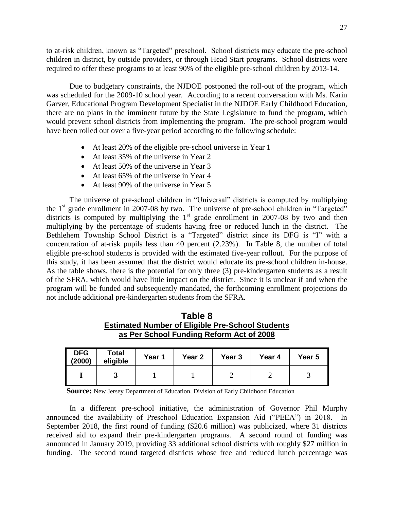to at-risk children, known as "Targeted" preschool. School districts may educate the pre-school children in district, by outside providers, or through Head Start programs. School districts were required to offer these programs to at least 90% of the eligible pre-school children by 2013-14.

Due to budgetary constraints, the NJDOE postponed the roll-out of the program, which was scheduled for the 2009-10 school year. According to a recent conversation with Ms. Karin Garver, Educational Program Development Specialist in the NJDOE Early Childhood Education, there are no plans in the imminent future by the State Legislature to fund the program, which would prevent school districts from implementing the program. The pre-school program would have been rolled out over a five-year period according to the following schedule:

- At least 20% of the eligible pre-school universe in Year 1
- At least 35% of the universe in Year 2
- At least 50% of the universe in Year 3
- At least 65% of the universe in Year 4
- At least 90% of the universe in Year 5

The universe of pre-school children in "Universal" districts is computed by multiplying the 1<sup>st</sup> grade enrollment in 2007-08 by two. The universe of pre-school children in "Targeted" districts is computed by multiplying the  $1<sup>st</sup>$  grade enrollment in 2007-08 by two and then multiplying by the percentage of students having free or reduced lunch in the district. The Bethlehem Township School District is a "Targeted" district since its DFG is "I" with a concentration of at-risk pupils less than 40 percent (2.23%). In Table 8, the number of total eligible pre-school students is provided with the estimated five-year rollout. For the purpose of this study, it has been assumed that the district would educate its pre-school children in-house. As the table shows, there is the potential for only three (3) pre-kindergarten students as a result of the SFRA, which would have little impact on the district. Since it is unclear if and when the program will be funded and subsequently mandated, the forthcoming enrollment projections do not include additional pre-kindergarten students from the SFRA.

| Table 8                                                 |
|---------------------------------------------------------|
| <b>Estimated Number of Eligible Pre-School Students</b> |
| as Per School Funding Reform Act of 2008                |

| <b>DFG</b><br>(2000) | <b>Total</b><br>eligible | Year 1 | Year <sub>2</sub> | Year <sub>3</sub> | Year 4 | Year 5 |
|----------------------|--------------------------|--------|-------------------|-------------------|--------|--------|
|                      |                          |        |                   |                   |        |        |

**Source:** New Jersey Department of Education, Division of Early Childhood Education

In a different pre-school initiative, the administration of Governor Phil Murphy announced the availability of Preschool Education Expansion Aid ("PEEA") in 2018. In September 2018, the first round of funding (\$20.6 million) was publicized, where 31 districts received aid to expand their pre-kindergarten programs. A second round of funding was announced in January 2019, providing 33 additional school districts with roughly \$27 million in funding. The second round targeted districts whose free and reduced lunch percentage was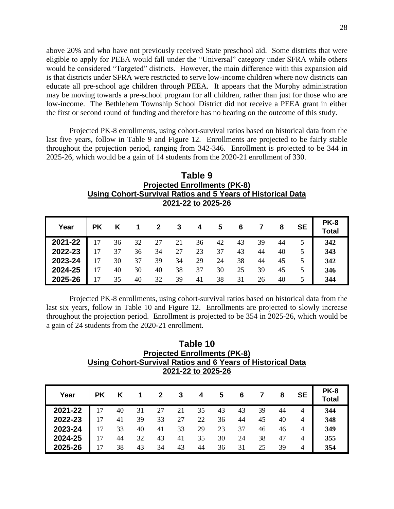above 20% and who have not previously received State preschool aid. Some districts that were eligible to apply for PEEA would fall under the "Universal" category under SFRA while others would be considered "Targeted" districts. However, the main difference with this expansion aid is that districts under SFRA were restricted to serve low-income children where now districts can educate all pre-school age children through PEEA. It appears that the Murphy administration may be moving towards a pre-school program for all children, rather than just for those who are low-income. The Bethlehem Township School District did not receive a PEEA grant in either the first or second round of funding and therefore has no bearing on the outcome of this study.

Projected PK-8 enrollments, using cohort-survival ratios based on historical data from the last five years, follow in Table 9 and Figure 12. Enrollments are projected to be fairly stable throughout the projection period, ranging from 342-346. Enrollment is projected to be 344 in 2025-26, which would be a gain of 14 students from the 2020-21 enrollment of 330.

| Table 9                                                     |
|-------------------------------------------------------------|
| <b>Projected Enrollments (PK-8)</b>                         |
| Using Cohort-Survival Ratios and 5 Years of Historical Data |
| 2021-22 to 2025-26                                          |

| Year    | PΚ              | Κ  |    |    | 3  | 4  | 5  | 6  |    | 8  | SE | <b>PK-8</b><br>Total |
|---------|-----------------|----|----|----|----|----|----|----|----|----|----|----------------------|
| 2021-22 |                 | 36 | 32 | 27 | 21 | 36 | 42 | 43 | 39 | 44 |    | 342                  |
| 2022-23 | 17              | 37 | 36 | 34 | 27 | 23 | 37 | 43 | 44 | 40 |    | 343                  |
| 2023-24 | $\overline{17}$ | 30 | 37 | 39 | 34 | 29 | 24 | 38 | 44 | 45 |    | 342                  |
| 2024-25 | 17              | 40 | 30 | 40 | 38 | 37 | 30 | 25 | 39 | 45 |    | 346                  |
| 2025-26 | 17              | 35 | 40 | 32 | 39 | 41 | 38 | 31 | 26 | 40 | 5  | 344                  |

Projected PK-8 enrollments, using cohort-survival ratios based on historical data from the last six years, follow in Table 10 and Figure 12. Enrollments are projected to slowly increase throughout the projection period. Enrollment is projected to be 354 in 2025-26, which would be a gain of 24 students from the 2020-21 enrollment.

**Table 10 Projected Enrollments (PK-8) Using Cohort-Survival Ratios and 6 Years of Historical Data 2021-22 to 2025-26**

| Year    | РK |    |    |    | 3  | 4  | 5  | 6  |    | 8  | <b>SE</b> | <b>PK-8</b><br>Total |
|---------|----|----|----|----|----|----|----|----|----|----|-----------|----------------------|
| 2021-22 | 17 | 40 | 31 | 27 | 21 | 35 | 43 | 43 | 39 | 44 | 4         | 344                  |
| 2022-23 | 17 | 41 | 39 | 33 | 27 | 22 | 36 | 44 | 45 | 40 | 4         | 348                  |
| 2023-24 | 17 | 33 | 40 | 41 | 33 | 29 | 23 | 37 | 46 | 46 | 4         | 349                  |
| 2024-25 | 17 | 44 | 32 | 43 | 41 | 35 | 30 | 24 | 38 | 47 | 4         | 355                  |
| 2025-26 | 17 | 38 | 43 | 34 | 43 | 44 | 36 | 31 | 25 | 39 | 4         | 354                  |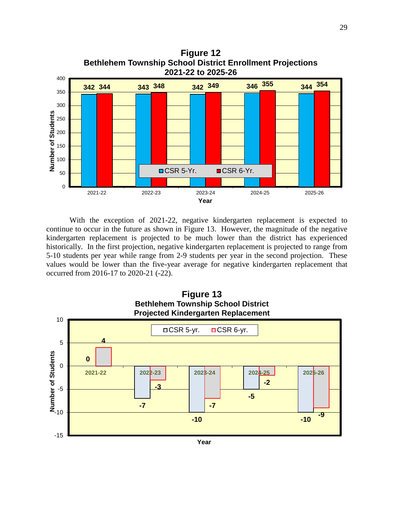

With the exception of 2021-22, negative kindergarten replacement is expected to continue to occur in the future as shown in Figure 13. However, the magnitude of the negative kindergarten replacement is projected to be much lower than the district has experienced historically. In the first projection, negative kindergarten replacement is projected to range from 5-10 students per year while range from 2-9 students per year in the second projection. These values would be lower than the five-year average for negative kindergarten replacement that occurred from 2016-17 to 2020-21 (-22).



**Year**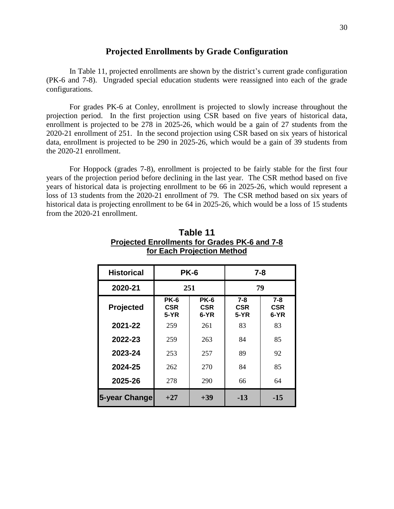## **Projected Enrollments by Grade Configuration**

In Table 11, projected enrollments are shown by the district's current grade configuration (PK-6 and 7-8). Ungraded special education students were reassigned into each of the grade configurations.

For grades PK-6 at Conley, enrollment is projected to slowly increase throughout the projection period. In the first projection using CSR based on five years of historical data, enrollment is projected to be 278 in 2025-26, which would be a gain of 27 students from the 2020-21 enrollment of 251. In the second projection using CSR based on six years of historical data, enrollment is projected to be 290 in 2025-26, which would be a gain of 39 students from the 2020-21 enrollment.

For Hoppock (grades 7-8), enrollment is projected to be fairly stable for the first four years of the projection period before declining in the last year. The CSR method based on five years of historical data is projecting enrollment to be 66 in 2025-26, which would represent a loss of 13 students from the 2020-21 enrollment of 79. The CSR method based on six years of historical data is projecting enrollment to be 64 in 2025-26, which would be a loss of 15 students from the 2020-21 enrollment.

| <b>Historical</b> |                            | <b>PK-6</b>                       | $7 - 8$                |                               |  |  |
|-------------------|----------------------------|-----------------------------------|------------------------|-------------------------------|--|--|
| 2020-21           |                            | 251                               | 79                     |                               |  |  |
| <b>Projected</b>  | <b>PK-6</b><br>CSR<br>5-YR | <b>PK-6</b><br><b>CSR</b><br>6-YR | $7 - 8$<br>CSR<br>5-YR | $7 - 8$<br><b>CSR</b><br>6-YR |  |  |
| 2021-22           | 259                        | 261                               | 83                     | 83                            |  |  |
| 2022-23           | 259                        | 263                               | 84                     | 85                            |  |  |
| 2023-24           | 253                        | 257                               | 89                     | 92                            |  |  |
| 2024-25           | 262                        | 270                               | 84                     | 85                            |  |  |
| 2025-26           | 278                        | 290                               | 66                     | 64                            |  |  |
| 5-year Change     | $+27$                      | $+39$                             | $-13$                  | $-15$                         |  |  |

**Table 11 Projected Enrollments for Grades PK-6 and 7-8 for Each Projection Method**